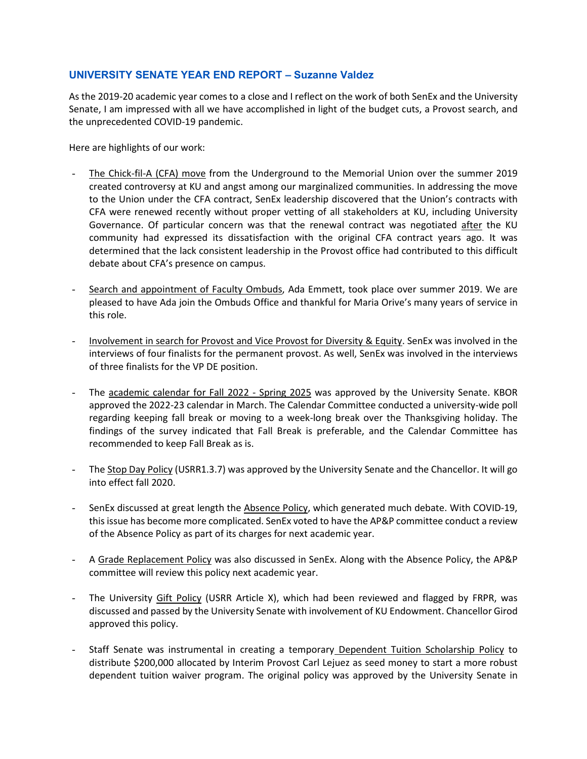## **UNIVERSITY SENATE YEAR END REPORT – Suzanne Valdez**

As the 2019-20 academic year comes to a close and I reflect on the work of both SenEx and the University Senate, I am impressed with all we have accomplished in light of the budget cuts, a Provost search, and the unprecedented COVID-19 pandemic.

Here are highlights of our work:

- The Chick-fil-A (CFA) move from the Underground to the Memorial Union over the summer 2019 created controversy at KU and angst among our marginalized communities. In addressing the move to the Union under the CFA contract, SenEx leadership discovered that the Union's contracts with CFA were renewed recently without proper vetting of all stakeholders at KU, including University Governance. Of particular concern was that the renewal contract was negotiated after the KU community had expressed its dissatisfaction with the original CFA contract years ago. It was determined that the lack consistent leadership in the Provost office had contributed to this difficult debate about CFA's presence on campus.
- Search and appointment of Faculty Ombuds, Ada Emmett, took place over summer 2019. We are pleased to have Ada join the Ombuds Office and thankful for Maria Orive's many years of service in this role.
- Involvement in search for Provost and Vice Provost for Diversity & Equity. SenEx was involved in the interviews of four finalists for the permanent provost. As well, SenEx was involved in the interviews of three finalists for the VP DE position.
- The academic calendar for Fall 2022 Spring 2025 was approved by the University Senate. KBOR approved the 2022-23 calendar in March. The Calendar Committee conducted a university-wide poll regarding keeping fall break or moving to a week-long break over the Thanksgiving holiday. The findings of the survey indicated that Fall Break is preferable, and the Calendar Committee has recommended to keep Fall Break as is.
- The Stop Day Policy (USRR1.3.7) was approved by the University Senate and the Chancellor. It will go into effect fall 2020.
- SenEx discussed at great length the Absence Policy, which generated much debate. With COVID-19, this issue has become more complicated. SenEx voted to have the AP&P committee conduct a review of the Absence Policy as part of its charges for next academic year.
- A Grade Replacement Policy was also discussed in SenEx. Along with the Absence Policy, the AP&P committee will review this policy next academic year.
- The University Gift Policy (USRR Article X), which had been reviewed and flagged by FRPR, was discussed and passed by the University Senate with involvement of KU Endowment. Chancellor Girod approved this policy.
- Staff Senate was instrumental in creating a temporary Dependent Tuition Scholarship Policy to distribute \$200,000 allocated by Interim Provost Carl Lejuez as seed money to start a more robust dependent tuition waiver program. The original policy was approved by the University Senate in